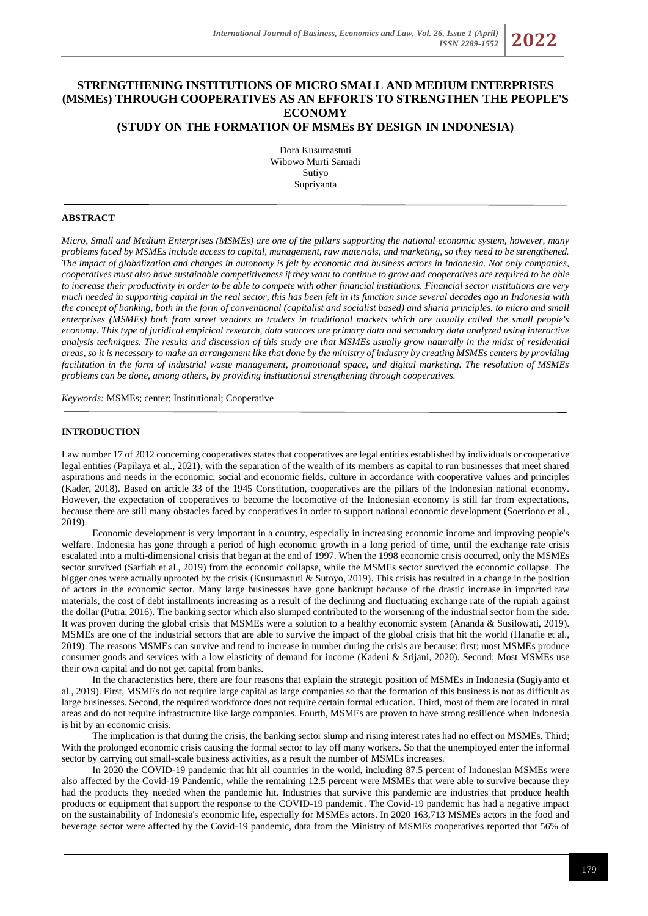# **STRENGTHENING INSTITUTIONS OF MICRO SMALL AND MEDIUM ENTERPRISES (MSMEs) THROUGH COOPERATIVES AS AN EFFORTS TO STRENGTHEN THE PEOPLE'S ECONOMY**

# **(STUDY ON THE FORMATION OF MSMEs BY DESIGN IN INDONESIA)**

Dora Kusumastuti Wibowo Murti Samadi Sutiyo Supriyanta

## **ABSTRACT**

*Micro, Small and Medium Enterprises (MSMEs) are one of the pillars supporting the national economic system, however, many problems faced by MSMEs include access to capital, management, raw materials, and marketing, so they need to be strengthened. The impact of globalization and changes in autonomy is felt by economic and business actors in Indonesia. Not only companies, cooperatives must also have sustainable competitiveness if they want to continue to grow and cooperatives are required to be able*  to increase their productivity in order to be able to compete with other *financial institutions*. Financial sector institutions are very *much needed in supporting capital in the real sector, this has been felt in its function since several decades ago in Indonesia with the concept of banking, both in the form of conventional (capitalist and socialist based) and sharia principles. to micro and small enterprises (MSMEs) both from street vendors to traders in traditional markets which are usually called the small people's economy. This type of juridical empirical research, data sources are primary data and secondary data analyzed using interactive analysis techniques. The results and discussion of this study are that MSMEs usually grow naturally in the midst of residential areas, so it is necessary to make an arrangement like that done by the ministry of industry by creating MSMEs centers by providing facilitation in the form of industrial waste management, promotional space, and digital marketing. The resolution of MSMEs problems can be done, among others, by providing institutional strengthening through cooperatives.*

*Keywords:* MSMEs; center; Institutional; Cooperative

#### **INTRODUCTION**

Law number 17 of 2012 concerning cooperatives states that cooperatives are legal entities established by individuals or cooperative legal entities (Papilaya et al., 2021), with the separation of the wealth of its members as capital to run businesses that meet shared aspirations and needs in the economic, social and economic fields. culture in accordance with cooperative values and principles (Kader, 2018). Based on article 33 of the 1945 Constitution, cooperatives are the pillars of the Indonesian national economy. However, the expectation of cooperatives to become the locomotive of the Indonesian economy is still far from expectations, because there are still many obstacles faced by cooperatives in order to support national economic development (Soetriono et al., 2019).

Economic development is very important in a country, especially in increasing economic income and improving people's welfare. Indonesia has gone through a period of high economic growth in a long period of time, until the exchange rate crisis escalated into a multi-dimensional crisis that began at the end of 1997. When the 1998 economic crisis occurred, only the MSMEs sector survived (Sarfiah et al., 2019) from the economic collapse, while the MSMEs sector survived the economic collapse. The bigger ones were actually uprooted by the crisis (Kusumastuti & Sutoyo, 2019). This crisis has resulted in a change in the position of actors in the economic sector. Many large businesses have gone bankrupt because of the drastic increase in imported raw materials, the cost of debt installments increasing as a result of the declining and fluctuating exchange rate of the rupiah against the dollar (Putra, 2016). The banking sector which also slumped contributed to the worsening of the industrial sector from the side. It was proven during the global crisis that MSMEs were a solution to a healthy economic system (Ananda & Susilowati, 2019). MSMEs are one of the industrial sectors that are able to survive the impact of the global crisis that hit the world (Hanafie et al., 2019). The reasons MSMEs can survive and tend to increase in number during the crisis are because: first; most MSMEs produce consumer goods and services with a low elasticity of demand for income (Kadeni & Srijani, 2020). Second; Most MSMEs use their own capital and do not get capital from banks.

In the characteristics here, there are four reasons that explain the strategic position of MSMEs in Indonesia (Sugiyanto et al., 2019). First, MSMEs do not require large capital as large companies so that the formation of this business is not as difficult as large businesses. Second, the required workforce does not require certain formal education. Third, most of them are located in rural areas and do not require infrastructure like large companies. Fourth, MSMEs are proven to have strong resilience when Indonesia is hit by an economic crisis.

The implication is that during the crisis, the banking sector slump and rising interest rates had no effect on MSMEs. Third; With the prolonged economic crisis causing the formal sector to lay off many workers. So that the unemployed enter the informal sector by carrying out small-scale business activities, as a result the number of MSMEs increases.

In 2020 the COVID-19 pandemic that hit all countries in the world, including 87.5 percent of Indonesian MSMEs were also affected by the Covid-19 Pandemic, while the remaining 12.5 percent were MSMEs that were able to survive because they had the products they needed when the pandemic hit. Industries that survive this pandemic are industries that produce health products or equipment that support the response to the COVID-19 pandemic. The Covid-19 pandemic has had a negative impact on the sustainability of Indonesia's economic life, especially for MSMEs actors. In 2020 163,713 MSMEs actors in the food and beverage sector were affected by the Covid-19 pandemic, data from the Ministry of MSMEs cooperatives reported that 56% of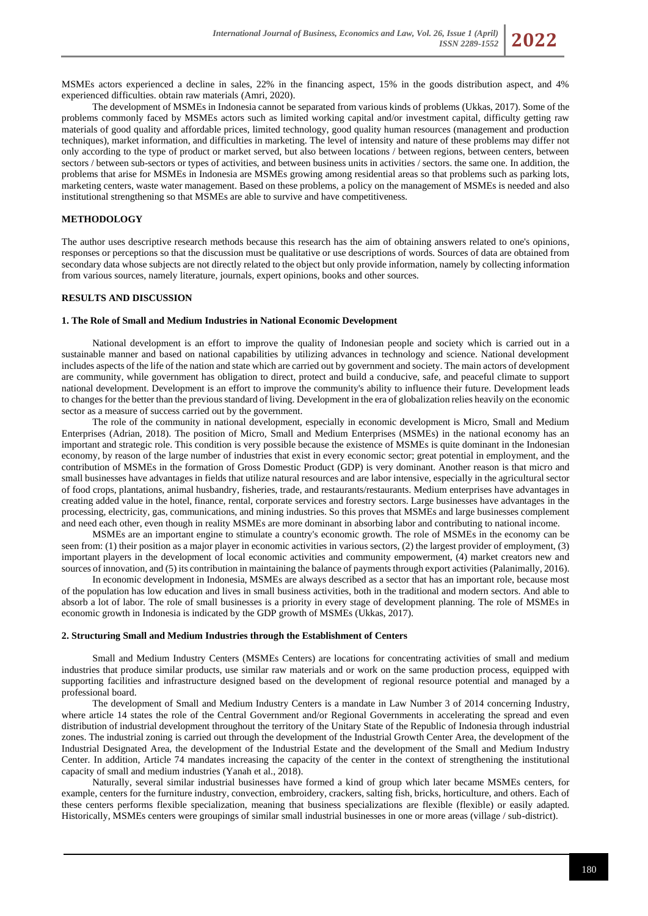MSMEs actors experienced a decline in sales, 22% in the financing aspect, 15% in the goods distribution aspect, and 4% experienced difficulties. obtain raw materials (Amri, 2020).

The development of MSMEs in Indonesia cannot be separated from various kinds of problems (Ukkas, 2017). Some of the problems commonly faced by MSMEs actors such as limited working capital and/or investment capital, difficulty getting raw materials of good quality and affordable prices, limited technology, good quality human resources (management and production techniques), market information, and difficulties in marketing. The level of intensity and nature of these problems may differ not only according to the type of product or market served, but also between locations / between regions, between centers, between sectors / between sub-sectors or types of activities, and between business units in activities / sectors. the same one. In addition, the problems that arise for MSMEs in Indonesia are MSMEs growing among residential areas so that problems such as parking lots, marketing centers, waste water management. Based on these problems, a policy on the management of MSMEs is needed and also institutional strengthening so that MSMEs are able to survive and have competitiveness.

# **METHODOLOGY**

The author uses descriptive research methods because this research has the aim of obtaining answers related to one's opinions, responses or perceptions so that the discussion must be qualitative or use descriptions of words. Sources of data are obtained from secondary data whose subjects are not directly related to the object but only provide information, namely by collecting information from various sources, namely literature, journals, expert opinions, books and other sources.

#### **RESULTS AND DISCUSSION**

#### **1. The Role of Small and Medium Industries in National Economic Development**

National development is an effort to improve the quality of Indonesian people and society which is carried out in a sustainable manner and based on national capabilities by utilizing advances in technology and science. National development includes aspects of the life of the nation and state which are carried out by government and society. The main actors of development are community, while government has obligation to direct, protect and build a conducive, safe, and peaceful climate to support national development. Development is an effort to improve the community's ability to influence their future. Development leads to changes for the better than the previous standard of living. Development in the era of globalization relies heavily on the economic sector as a measure of success carried out by the government.

The role of the community in national development, especially in economic development is Micro, Small and Medium Enterprises (Adrian, 2018). The position of Micro, Small and Medium Enterprises (MSMEs) in the national economy has an important and strategic role. This condition is very possible because the existence of MSMEs is quite dominant in the Indonesian economy, by reason of the large number of industries that exist in every economic sector; great potential in employment, and the contribution of MSMEs in the formation of Gross Domestic Product (GDP) is very dominant. Another reason is that micro and small businesses have advantages in fields that utilize natural resources and are labor intensive, especially in the agricultural sector of food crops, plantations, animal husbandry, fisheries, trade, and restaurants/restaurants. Medium enterprises have advantages in creating added value in the hotel, finance, rental, corporate services and forestry sectors. Large businesses have advantages in the processing, electricity, gas, communications, and mining industries. So this proves that MSMEs and large businesses complement and need each other, even though in reality MSMEs are more dominant in absorbing labor and contributing to national income.

MSMEs are an important engine to stimulate a country's economic growth. The role of MSMEs in the economy can be seen from: (1) their position as a major player in economic activities in various sectors, (2) the largest provider of employment, (3) important players in the development of local economic activities and community empowerment, (4) market creators new and sources of innovation, and (5) its contribution in maintaining the balance of payments through export activities (Palanimally, 2016).

In economic development in Indonesia, MSMEs are always described as a sector that has an important role, because most of the population has low education and lives in small business activities, both in the traditional and modern sectors. And able to absorb a lot of labor. The role of small businesses is a priority in every stage of development planning. The role of MSMEs in economic growth in Indonesia is indicated by the GDP growth of MSMEs (Ukkas, 2017).

## **2. Structuring Small and Medium Industries through the Establishment of Centers**

Small and Medium Industry Centers (MSMEs Centers) are locations for concentrating activities of small and medium industries that produce similar products, use similar raw materials and or work on the same production process, equipped with supporting facilities and infrastructure designed based on the development of regional resource potential and managed by a professional board.

The development of Small and Medium Industry Centers is a mandate in Law Number 3 of 2014 concerning Industry, where article 14 states the role of the Central Government and/or Regional Governments in accelerating the spread and even distribution of industrial development throughout the territory of the Unitary State of the Republic of Indonesia through industrial zones. The industrial zoning is carried out through the development of the Industrial Growth Center Area, the development of the Industrial Designated Area, the development of the Industrial Estate and the development of the Small and Medium Industry Center. In addition, Article 74 mandates increasing the capacity of the center in the context of strengthening the institutional capacity of small and medium industries (Yanah et al., 2018).

Naturally, several similar industrial businesses have formed a kind of group which later became MSMEs centers, for example, centers for the furniture industry, convection, embroidery, crackers, salting fish, bricks, horticulture, and others. Each of these centers performs flexible specialization, meaning that business specializations are flexible (flexible) or easily adapted. Historically, MSMEs centers were groupings of similar small industrial businesses in one or more areas (village / sub-district).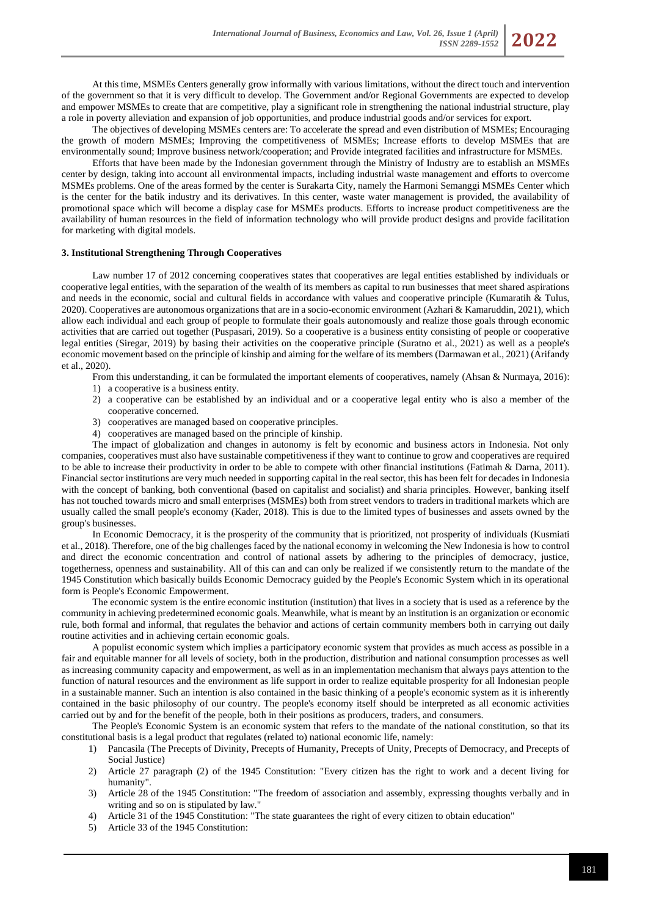At this time, MSMEs Centers generally grow informally with various limitations, without the direct touch and intervention of the government so that it is very difficult to develop. The Government and/or Regional Governments are expected to develop and empower MSMEs to create that are competitive, play a significant role in strengthening the national industrial structure, play a role in poverty alleviation and expansion of job opportunities, and produce industrial goods and/or services for export.

The objectives of developing MSMEs centers are: To accelerate the spread and even distribution of MSMEs; Encouraging the growth of modern MSMEs; Improving the competitiveness of MSMEs; Increase efforts to develop MSMEs that are environmentally sound; Improve business network/cooperation; and Provide integrated facilities and infrastructure for MSMEs.

Efforts that have been made by the Indonesian government through the Ministry of Industry are to establish an MSMEs center by design, taking into account all environmental impacts, including industrial waste management and efforts to overcome MSMEs problems. One of the areas formed by the center is Surakarta City, namely the Harmoni Semanggi MSMEs Center which is the center for the batik industry and its derivatives. In this center, waste water management is provided, the availability of promotional space which will become a display case for MSMEs products. Efforts to increase product competitiveness are the availability of human resources in the field of information technology who will provide product designs and provide facilitation for marketing with digital models.

#### **3. Institutional Strengthening Through Cooperatives**

Law number 17 of 2012 concerning cooperatives states that cooperatives are legal entities established by individuals or cooperative legal entities, with the separation of the wealth of its members as capital to run businesses that meet shared aspirations and needs in the economic, social and cultural fields in accordance with values and cooperative principle (Kumaratih & Tulus, 2020). Cooperatives are autonomous organizations that are in a socio-economic environment (Azhari & Kamaruddin, 2021), which allow each individual and each group of people to formulate their goals autonomously and realize those goals through economic activities that are carried out together (Puspasari, 2019). So a cooperative is a business entity consisting of people or cooperative legal entities (Siregar, 2019) by basing their activities on the cooperative principle (Suratno et al., 2021) as well as a people's economic movement based on the principle of kinship and aiming for the welfare of its members (Darmawan et al., 2021) (Arifandy et al., 2020).

- From this understanding, it can be formulated the important elements of cooperatives, namely (Ahsan & Nurmaya, 2016):
- 1) a cooperative is a business entity.
- 2) a cooperative can be established by an individual and or a cooperative legal entity who is also a member of the cooperative concerned.
- 3) cooperatives are managed based on cooperative principles.
- 4) cooperatives are managed based on the principle of kinship.

The impact of globalization and changes in autonomy is felt by economic and business actors in Indonesia. Not only companies, cooperatives must also have sustainable competitiveness if they want to continue to grow and cooperatives are required to be able to increase their productivity in order to be able to compete with other financial institutions (Fatimah & Darna, 2011). Financial sector institutions are very much needed in supporting capital in the real sector, this has been felt for decades in Indonesia with the concept of banking, both conventional (based on capitalist and socialist) and sharia principles. However, banking itself has not touched towards micro and small enterprises (MSMEs) both from street vendors to traders in traditional markets which are usually called the small people's economy (Kader, 2018). This is due to the limited types of businesses and assets owned by the group's businesses.

In Economic Democracy, it is the prosperity of the community that is prioritized, not prosperity of individuals (Kusmiati et al., 2018). Therefore, one of the big challenges faced by the national economy in welcoming the New Indonesia is how to control and direct the economic concentration and control of national assets by adhering to the principles of democracy, justice, togetherness, openness and sustainability. All of this can and can only be realized if we consistently return to the mandate of the 1945 Constitution which basically builds Economic Democracy guided by the People's Economic System which in its operational form is People's Economic Empowerment.

The economic system is the entire economic institution (institution) that lives in a society that is used as a reference by the community in achieving predetermined economic goals. Meanwhile, what is meant by an institution is an organization or economic rule, both formal and informal, that regulates the behavior and actions of certain community members both in carrying out daily routine activities and in achieving certain economic goals.

A populist economic system which implies a participatory economic system that provides as much access as possible in a fair and equitable manner for all levels of society, both in the production, distribution and national consumption processes as well as increasing community capacity and empowerment, as well as in an implementation mechanism that always pays attention to the function of natural resources and the environment as life support in order to realize equitable prosperity for all Indonesian people in a sustainable manner. Such an intention is also contained in the basic thinking of a people's economic system as it is inherently contained in the basic philosophy of our country. The people's economy itself should be interpreted as all economic activities carried out by and for the benefit of the people, both in their positions as producers, traders, and consumers.

The People's Economic System is an economic system that refers to the mandate of the national constitution, so that its constitutional basis is a legal product that regulates (related to) national economic life, namely:

- 1) Pancasila (The Precepts of Divinity, Precepts of Humanity, Precepts of Unity, Precepts of Democracy, and Precepts of Social Justice)
- 2) Article 27 paragraph (2) of the 1945 Constitution: "Every citizen has the right to work and a decent living for humanity".
- 3) Article 28 of the 1945 Constitution: "The freedom of association and assembly, expressing thoughts verbally and in writing and so on is stipulated by law."
- 4) Article 31 of the 1945 Constitution: "The state guarantees the right of every citizen to obtain education"
- 5) Article 33 of the 1945 Constitution: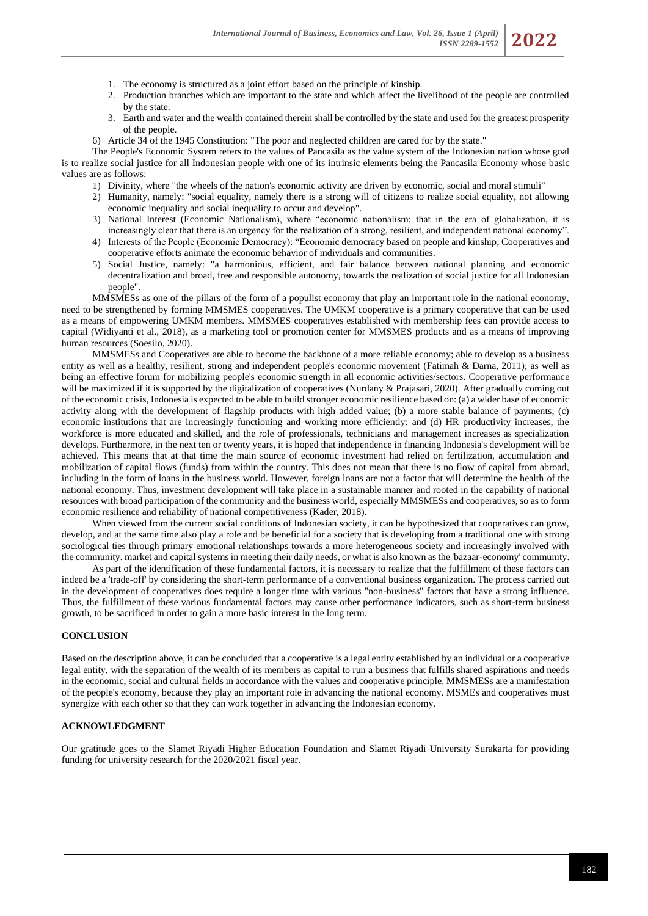- 1. The economy is structured as a joint effort based on the principle of kinship.
- 2. Production branches which are important to the state and which affect the livelihood of the people are controlled by the state.
- 3. Earth and water and the wealth contained therein shall be controlled by the state and used for the greatest prosperity of the people.
- 6) Article 34 of the 1945 Constitution: "The poor and neglected children are cared for by the state."

The People's Economic System refers to the values of Pancasila as the value system of the Indonesian nation whose goal is to realize social justice for all Indonesian people with one of its intrinsic elements being the Pancasila Economy whose basic values are as follows:

- 1) Divinity, where "the wheels of the nation's economic activity are driven by economic, social and moral stimuli"
- 2) Humanity, namely: "social equality, namely there is a strong will of citizens to realize social equality, not allowing economic inequality and social inequality to occur and develop".
- 3) National Interest (Economic Nationalism), where "economic nationalism; that in the era of globalization, it is increasingly clear that there is an urgency for the realization of a strong, resilient, and independent national economy".
- 4) Interests of the People (Economic Democracy): "Economic democracy based on people and kinship; Cooperatives and cooperative efforts animate the economic behavior of individuals and communities.
- 5) Social Justice, namely: "a harmonious, efficient, and fair balance between national planning and economic decentralization and broad, free and responsible autonomy, towards the realization of social justice for all Indonesian people".

MMSMESs as one of the pillars of the form of a populist economy that play an important role in the national economy, need to be strengthened by forming MMSMES cooperatives. The UMKM cooperative is a primary cooperative that can be used as a means of empowering UMKM members. MMSMES cooperatives established with membership fees can provide access to capital (Widiyanti et al., 2018), as a marketing tool or promotion center for MMSMES products and as a means of improving human resources (Soesilo, 2020).

MMSMESs and Cooperatives are able to become the backbone of a more reliable economy; able to develop as a business entity as well as a healthy, resilient, strong and independent people's economic movement (Fatimah & Darna, 2011); as well as being an effective forum for mobilizing people's economic strength in all economic activities/sectors. Cooperative performance will be maximized if it is supported by the digitalization of cooperatives (Nurdany & Prajasari, 2020). After gradually coming out of the economic crisis, Indonesia is expected to be able to build stronger economic resilience based on: (a) a wider base of economic activity along with the development of flagship products with high added value; (b) a more stable balance of payments; (c) economic institutions that are increasingly functioning and working more efficiently; and (d) HR productivity increases, the workforce is more educated and skilled, and the role of professionals, technicians and management increases as specialization develops. Furthermore, in the next ten or twenty years, it is hoped that independence in financing Indonesia's development will be achieved. This means that at that time the main source of economic investment had relied on fertilization, accumulation and mobilization of capital flows (funds) from within the country. This does not mean that there is no flow of capital from abroad, including in the form of loans in the business world. However, foreign loans are not a factor that will determine the health of the national economy. Thus, investment development will take place in a sustainable manner and rooted in the capability of national resources with broad participation of the community and the business world, especially MMSMESs and cooperatives, so as to form economic resilience and reliability of national competitiveness (Kader, 2018).

When viewed from the current social conditions of Indonesian society, it can be hypothesized that cooperatives can grow, develop, and at the same time also play a role and be beneficial for a society that is developing from a traditional one with strong sociological ties through primary emotional relationships towards a more heterogeneous society and increasingly involved with the community. market and capital systems in meeting their daily needs, or what is also known as the 'bazaar-economy' community.

As part of the identification of these fundamental factors, it is necessary to realize that the fulfillment of these factors can indeed be a 'trade-off' by considering the short-term performance of a conventional business organization. The process carried out in the development of cooperatives does require a longer time with various "non-business" factors that have a strong influence. Thus, the fulfillment of these various fundamental factors may cause other performance indicators, such as short-term business growth, to be sacrificed in order to gain a more basic interest in the long term.

# **CONCLUSION**

Based on the description above, it can be concluded that a cooperative is a legal entity established by an individual or a cooperative legal entity, with the separation of the wealth of its members as capital to run a business that fulfills shared aspirations and needs in the economic, social and cultural fields in accordance with the values and cooperative principle. MMSMESs are a manifestation of the people's economy, because they play an important role in advancing the national economy. MSMEs and cooperatives must synergize with each other so that they can work together in advancing the Indonesian economy.

# **ACKNOWLEDGMENT**

Our gratitude goes to the Slamet Riyadi Higher Education Foundation and Slamet Riyadi University Surakarta for providing funding for university research for the 2020/2021 fiscal year.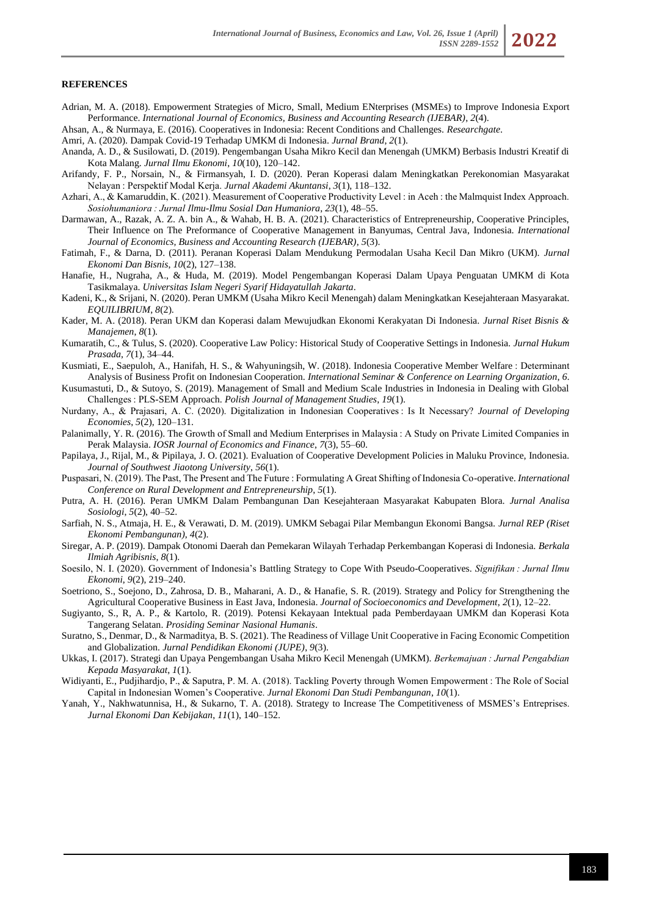#### **REFERENCES**

Adrian, M. A. (2018). Empowerment Strategies of Micro, Small, Medium ENterprises (MSMEs) to Improve Indonesia Export Performance. *International Journal of Economics, Business and Accounting Research (IJEBAR)*, *2*(4).

Ahsan, A., & Nurmaya, E. (2016). Cooperatives in Indonesia: Recent Conditions and Challenges. *Researchgate*.

- Amri, A. (2020). Dampak Covid-19 Terhadap UMKM di Indonesia. *Jurnal Brand*, *2*(1).
- Ananda, A. D., & Susilowati, D. (2019). Pengembangan Usaha Mikro Kecil dan Menengah (UMKM) Berbasis Industri Kreatif di Kota Malang. *Jurnal Ilmu Ekonomi*, *10*(10), 120–142.
- Arifandy, F. P., Norsain, N., & Firmansyah, I. D. (2020). Peran Koperasi dalam Meningkatkan Perekonomian Masyarakat Nelayan : Perspektif Modal Kerja. *Jurnal Akademi Akuntansi*, *3*(1), 118–132.
- Azhari, A., & Kamaruddin, K. (2021). Measurement of Cooperative Productivity Level : in Aceh : the Malmquist Index Approach. *Sosiohumaniora : Jurnal Ilmu-Ilmu Sosial Dan Humaniora*, *23*(1), 48–55.
- Darmawan, A., Razak, A. Z. A. bin A., & Wahab, H. B. A. (2021). Characteristics of Entrepreneurship, Cooperative Principles, Their Influence on The Preformance of Cooperative Management in Banyumas, Central Java, Indonesia. *International Journal of Economics, Business and Accounting Research (IJEBAR)*, *5*(3).
- Fatimah, F., & Darna, D. (2011). Peranan Koperasi Dalam Mendukung Permodalan Usaha Kecil Dan Mikro (UKM). *Jurnal Ekonomi Dan Bisnis*, *10*(2), 127–138.
- Hanafie, H., Nugraha, A., & Huda, M. (2019). Model Pengembangan Koperasi Dalam Upaya Penguatan UMKM di Kota Tasikmalaya. *Universitas Islam Negeri Syarif Hidayatullah Jakarta*.
- Kadeni, K., & Srijani, N. (2020). Peran UMKM (Usaha Mikro Kecil Menengah) dalam Meningkatkan Kesejahteraan Masyarakat. *EQUILIBRIUM*, *8*(2).
- Kader, M. A. (2018). Peran UKM dan Koperasi dalam Mewujudkan Ekonomi Kerakyatan Di Indonesia. *Jurnal Riset Bisnis & Manajemen*, *8*(1).
- Kumaratih, C., & Tulus, S. (2020). Cooperative Law Policy: Historical Study of Cooperative Settings in Indonesia. *Jurnal Hukum Prasada*, *7*(1), 34–44.
- Kusmiati, E., Saepuloh, A., Hanifah, H. S., & Wahyuningsih, W. (2018). Indonesia Cooperative Member Welfare : Determinant Analysis of Business Profit on Indonesian Cooperation. *International Seminar & Conference on Learning Organization*, *6*.
- Kusumastuti, D., & Sutoyo, S. (2019). Management of Small and Medium Scale Industries in Indonesia in Dealing with Global Challenges : PLS-SEM Approach. *Polish Journal of Management Studies*, *19*(1).
- Nurdany, A., & Prajasari, A. C. (2020). Digitalization in Indonesian Cooperatives : Is It Necessary? *Journal of Developing Economies*, *5*(2), 120–131.
- Palanimally, Y. R. (2016). The Growth of Small and Medium Enterprises in Malaysia : A Study on Private Limited Companies in Perak Malaysia. *IOSR Journal of Economics and Finance*, *7*(3), 55–60.
- Papilaya, J., Rijal, M., & Pipilaya, J. O. (2021). Evaluation of Cooperative Development Policies in Maluku Province, Indonesia. *Journal of Southwest Jiaotong University*, *56*(1).
- Puspasari, N. (2019). The Past, The Present and The Future : Formulating A Great Shifting of Indonesia Co-operative. *International Conference on Rural Development and Entrepreneurship*, *5*(1).
- Putra, A. H. (2016). Peran UMKM Dalam Pembangunan Dan Kesejahteraan Masyarakat Kabupaten Blora. *Jurnal Analisa Sosiologi*, *5*(2), 40–52.
- Sarfiah, N. S., Atmaja, H. E., & Verawati, D. M. (2019). UMKM Sebagai Pilar Membangun Ekonomi Bangsa. *Jurnal REP (Riset Ekonomi Pembangunan)*, *4*(2).
- Siregar, A. P. (2019). Dampak Otonomi Daerah dan Pemekaran Wilayah Terhadap Perkembangan Koperasi di Indonesia. *Berkala Ilmiah Agribisnis*, *8*(1).
- Soesilo, N. I. (2020). Government of Indonesia's Battling Strategy to Cope With Pseudo-Cooperatives. *Signifikan : Jurnal Ilmu Ekonomi*, *9*(2), 219–240.
- Soetriono, S., Soejono, D., Zahrosa, D. B., Maharani, A. D., & Hanafie, S. R. (2019). Strategy and Policy for Strengthening the Agricultural Cooperative Business in East Java, Indonesia. *Journal of Socioeconomics and Development*, *2*(1), 12–22.
- Sugiyanto, S., R, A. P., & Kartolo, R. (2019). Potensi Kekayaan Intektual pada Pemberdayaan UMKM dan Koperasi Kota Tangerang Selatan. *Prosiding Seminar Nasional Humanis*.
- Suratno, S., Denmar, D., & Narmaditya, B. S. (2021). The Readiness of Village Unit Cooperative in Facing Economic Competition and Globalization. *Jurnal Pendidikan Ekonomi (JUPE)*, *9*(3).
- Ukkas, I. (2017). Strategi dan Upaya Pengembangan Usaha Mikro Kecil Menengah (UMKM). *Berkemajuan : Jurnal Pengabdian Kepada Masyarakat*, *1*(1).
- Widiyanti, E., Pudjihardjo, P., & Saputra, P. M. A. (2018). Tackling Poverty through Women Empowerment : The Role of Social Capital in Indonesian Women's Cooperative. *Jurnal Ekonomi Dan Studi Pembangunan*, *10*(1).
- Yanah, Y., Nakhwatunnisa, H., & Sukarno, T. A. (2018). Strategy to Increase The Competitiveness of MSMES's Entreprises. *Jurnal Ekonomi Dan Kebijakan*, *11*(1), 140–152.